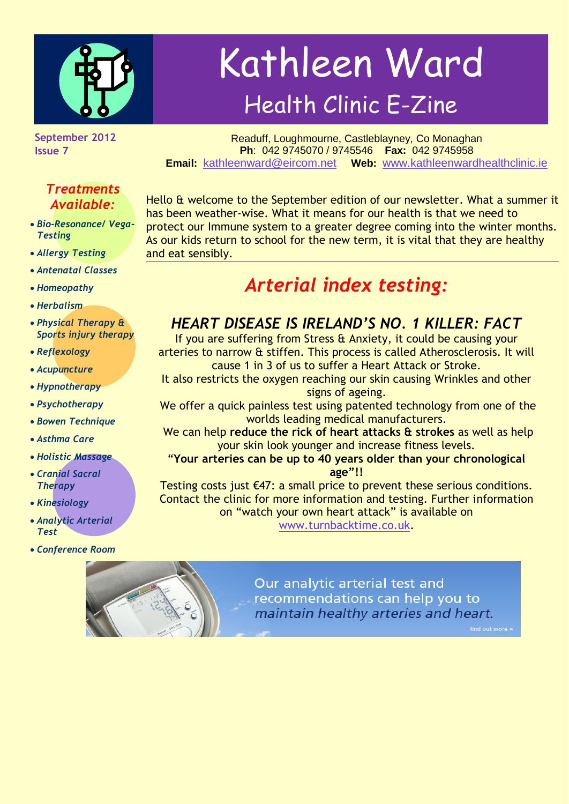

Kathleen Ward Health Clinic E-Zine

**September 2012 Issue 7**

### *Treatments Available:*

- *Bio-Resonance/ Vega-Testing*
- *Allergy Testing*
- *Antenatal Classes*
- *Homeopathy*
- *Herbalism*
- *Physical Therapy & Sports injury therapy*
- *Reflexology*
- *Acupuncture*
- *Hypnotherapy*
- *Psychotherapy*
- *Bowen Technique*
- *Asthma Care*
- *Holistic Massage*
- *Cranial Sacral Therapy*
- *Kinesiology*
- *Analytic Arterial Test*
- *Conference Room*

Readuff, Loughmourne, Castleblayney, Co Monaghan **Ph**: 042 9745070 / 9745546 **Fax:** 042 9745958 **Email:** [kathleenward@eircom.net](mailto:kathleenward@eircom.net) **Web:** [www.kathleenwardhealthclinic.ie](http://www.kathleenwardhealthclinic.ie/)

Hello & welcome to the September edition of our newsletter. What a summer it has been weather-wise. What it means for our health is that we need to protect our Immune system to a greater degree coming into the winter months. As our kids return to school for the new term, it is vital that they are healthy and eat sensibly.

# *Arterial index testing:*

### *HEART DISEASE IS IRELAND'S NO. 1 KILLER: FACT*

If you are suffering from Stress & Anxiety, it could be causing your arteries to narrow & stiffen. This process is called Atherosclerosis. It will cause 1 in 3 of us to suffer a Heart Attack or Stroke.

It also restricts the oxygen reaching our skin causing Wrinkles and other signs of ageing.

We offer a quick painless test using patented technology from one of the worlds leading medical manufacturers.

We can help **reduce the rick of heart attacks & strokes** as well as help your skin look younger and increase fitness levels.

"**Your arteries can be up to 40 years older than your chronological age"!!**

Testing costs just €47: a small price to prevent these serious conditions. Contact the clinic for more information and testing. Further information on "watch your own heart attack" is available on [www.turnbacktime.co.uk.](http://www.turnbacktime.co.uk/)

> Our analytic arterial test and recommendations can help you to maintain healthy arteries and heart.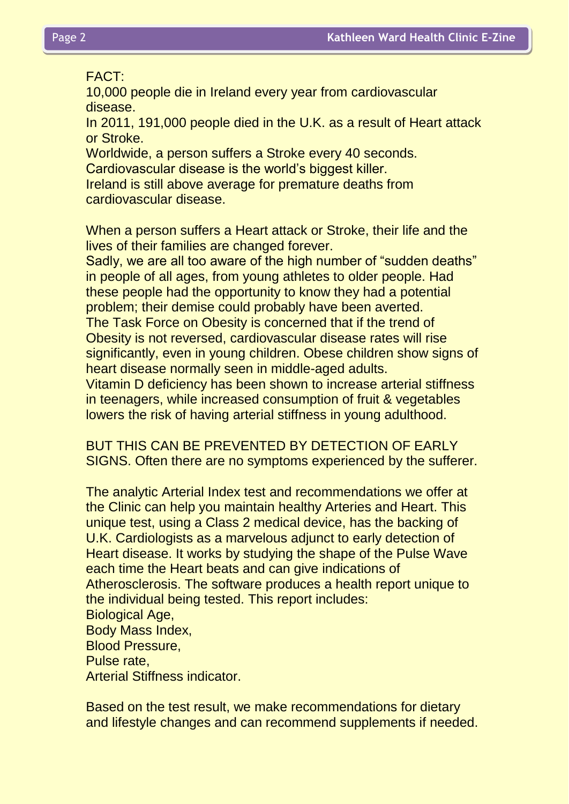#### FACT:

10,000 people die in Ireland every year from cardiovascular disease.

In 2011, 191,000 people died in the U.K. as a result of Heart attack or Stroke.

Worldwide, a person suffers a Stroke every 40 seconds. Cardiovascular disease is the world's biggest killer.

Ireland is still above average for premature deaths from cardiovascular disease.

When a person suffers a Heart attack or Stroke, their life and the lives of their families are changed forever.

Sadly, we are all too aware of the high number of "sudden deaths" in people of all ages, from young athletes to older people. Had these people had the opportunity to know they had a potential problem; their demise could probably have been averted. The Task Force on Obesity is concerned that if the trend of Obesity is not reversed, cardiovascular disease rates will rise

significantly, even in young children. Obese children show signs of heart disease normally seen in middle-aged adults.

Vitamin D deficiency has been shown to increase arterial stiffness in teenagers, while increased consumption of fruit & vegetables lowers the risk of having arterial stiffness in young adulthood.

BUT THIS CAN BE PREVENTED BY DETECTION OF EARLY SIGNS. Often there are no symptoms experienced by the sufferer.

The analytic Arterial Index test and recommendations we offer at the Clinic can help you maintain healthy Arteries and Heart. This unique test, using a Class 2 medical device, has the backing of U.K. Cardiologists as a marvelous adjunct to early detection of Heart disease. It works by studying the shape of the Pulse Wave each time the Heart beats and can give indications of Atherosclerosis. The software produces a health report unique to the individual being tested. This report includes: Biological Age, Body Mass Index, Blood Pressure, Pulse rate, Arterial Stiffness indicator.

Based on the test result, we make recommendations for dietary and lifestyle changes and can recommend supplements if needed.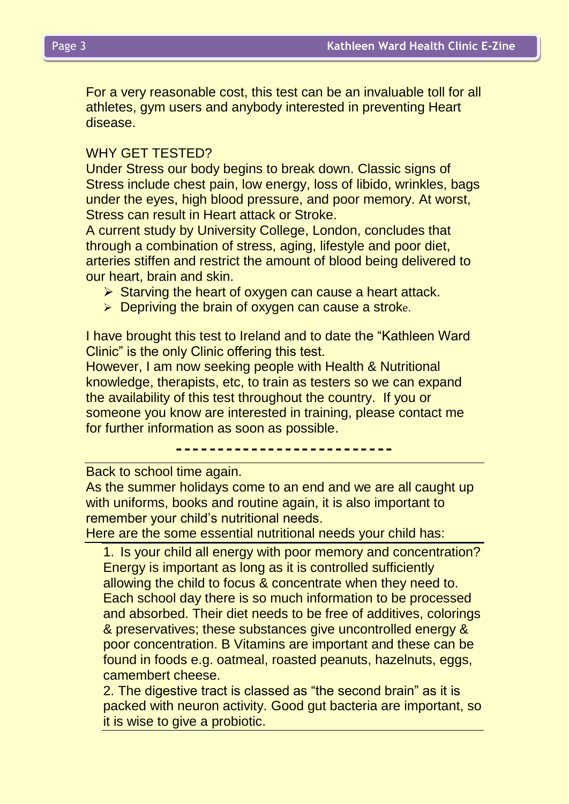For a very reasonable cost, this test can be an invaluable toll for all athletes, gym users and anybody interested in preventing Heart disease.

#### WHY GET TESTED?

Under Stress our body begins to break down. Classic signs of Stress include chest pain, low energy, loss of libido, wrinkles, bags under the eyes, high blood pressure, and poor memory. At worst, Stress can result in Heart attack or Stroke.

A current study by University College, London, concludes that through a combination of stress, aging, lifestyle and poor diet, arteries stiffen and restrict the amount of blood being delivered to our heart, brain and skin.

- $\triangleright$  Starving the heart of oxygen can cause a heart attack.
- $\triangleright$  Depriving the brain of oxygen can cause a stroke.

I have brought this test to Ireland and to date the "Kathleen Ward Clinic" is the only Clinic offering this test.

However, I am now seeking people with Health & Nutritional knowledge, therapists, etc, to train as testers so we can expand the availability of this test throughout the country. If you or someone you know are interested in training, please contact me for further information as soon as possible.

--------------------------

Back to school time again.

As the summer holidays come to an end and we are all caught up with uniforms, books and routine again, it is also important to remember your child's nutritional needs.

Here are the some essential nutritional needs your child has:

1. Is your child all energy with poor memory and concentration? Energy is important as long as it is controlled sufficiently allowing the child to focus & concentrate when they need to. Each school day there is so much information to be processed and absorbed. Their diet needs to be free of additives, colorings & preservatives; these substances give uncontrolled energy & poor concentration. B Vitamins are important and these can be found in foods e.g. oatmeal, roasted peanuts, hazelnuts, eggs, camembert cheese.

2. The digestive tract is classed as "the second brain" as it is packed with neuron activity. Good gut bacteria are important, so it is wise to give a probiotic.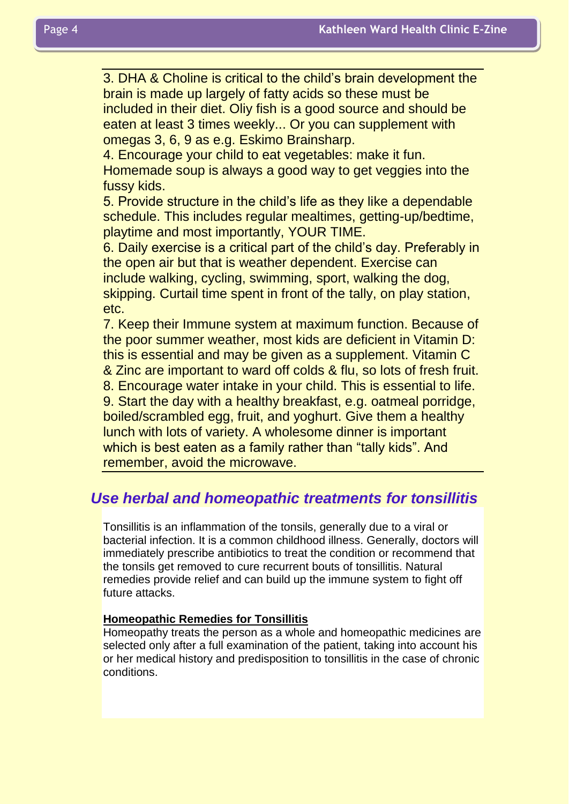3. DHA & Choline is critical to the child's brain development the brain is made up largely of fatty acids so these must be included in their diet. Oliy fish is a good source and should be eaten at least 3 times weekly... Or you can supplement with omegas 3, 6, 9 as e.g. Eskimo Brainsharp.

4. Encourage your child to eat vegetables: make it fun. Homemade soup is always a good way to get veggies into the fussy kids.

5. Provide structure in the child's life as they like a dependable schedule. This includes regular mealtimes, getting-up/bedtime, playtime and most importantly, YOUR TIME.

6. Daily exercise is a critical part of the child's day. Preferably in the open air but that is weather dependent. Exercise can include walking, cycling, swimming, sport, walking the dog, skipping. Curtail time spent in front of the tally, on play station, etc.

7. Keep their Immune system at maximum function. Because of the poor summer weather, most kids are deficient in Vitamin D: this is essential and may be given as a supplement. Vitamin C & Zinc are important to ward off colds & flu, so lots of fresh fruit. 8. Encourage water intake in your child. This is essential to life. 9. Start the day with a healthy breakfast, e.g. oatmeal porridge, boiled/scrambled egg, fruit, and yoghurt. Give them a healthy lunch with lots of variety. A wholesome dinner is important which is best eaten as a family rather than "tally kids". And remember, avoid the microwave.

# *Use herbal and homeopathic treatments for tonsillitis*

Tonsillitis is an inflammation of the tonsils, generally due to a viral or bacterial infection. It is a common childhood illness. Generally, doctors will immediately prescribe antibiotics to treat the condition or recommend that the tonsils get removed to cure recurrent bouts of tonsillitis. Natural remedies provide relief and can build up the immune system to fight off future attacks.

#### **Homeopathic Remedies for Tonsillitis**

Homeopathy treats the person as a whole and homeopathic medicines are selected only after a full examination of the patient, taking into account his or her medical history and predisposition to tonsillitis in the case of chronic conditions.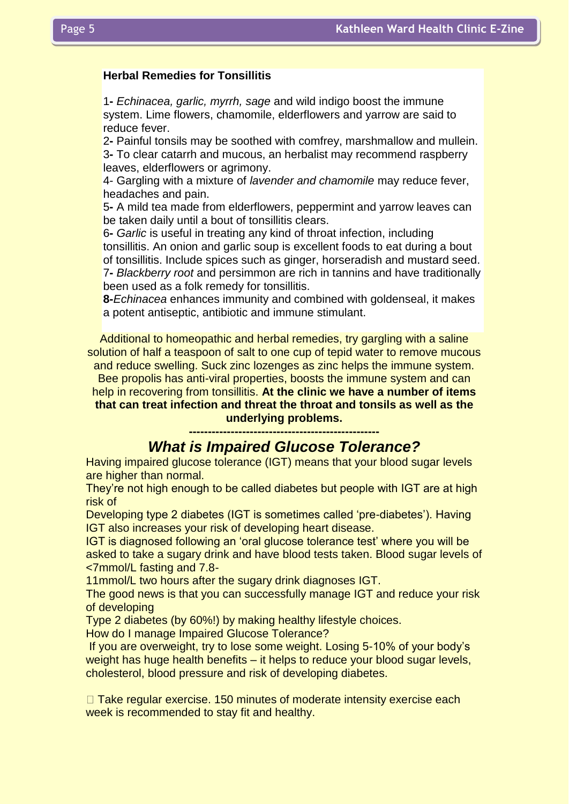#### **Herbal Remedies for Tonsillitis**

1**-** *Echinacea, garlic, myrrh, sage* and wild indigo boost the immune system. Lime flowers, chamomile, elderflowers and yarrow are said to reduce fever.

2**-** Painful tonsils may be soothed with comfrey, marshmallow and mullein. 3**-** To clear catarrh and mucous, an herbalist may recommend raspberry leaves, elderflowers or agrimony.

4- Gargling with a mixture of *lavender and chamomile* may reduce fever, headaches and pain.

5**-** A mild tea made from elderflowers, peppermint and yarrow leaves can be taken daily until a bout of tonsillitis clears.

6**-** *Garlic* is useful in treating any kind of throat infection, including tonsillitis. An onion and garlic soup is excellent foods to eat during a bout of tonsillitis. Include spices such as ginger, horseradish and mustard seed. 7**-** *Blackberry root* and persimmon are rich in tannins and have traditionally been used as a folk remedy for tonsillitis.

**8-***Echinacea* enhances immunity and combined with goldenseal, it makes a potent antiseptic, antibiotic and immune stimulant.

Additional to homeopathic and herbal remedies, try gargling with a saline solution of half a teaspoon of salt to one cup of tepid water to remove mucous

and reduce swelling. Suck zinc lozenges as zinc helps the immune system. Bee propolis has anti-viral properties, boosts the immune system and can help in recovering from tonsillitis. **At the clinic we have a number of items that can treat infection and threat the throat and tonsils as well as the** 

> **underlying problems. --------------------------------------------------**

### *What is Impaired Glucose Tolerance?*

Having impaired glucose tolerance (IGT) means that your blood sugar levels are higher than normal.

They're not high enough to be called diabetes but people with IGT are at high risk of

Developing type 2 diabetes (IGT is sometimes called 'pre-diabetes'). Having IGT also increases your risk of developing heart disease.

IGT is diagnosed following an 'oral glucose tolerance test' where you will be asked to take a sugary drink and have blood tests taken. Blood sugar levels of <7mmol/L fasting and 7.8-

11mmol/L two hours after the sugary drink diagnoses IGT.

The good news is that you can successfully manage IGT and reduce your risk of developing

Type 2 diabetes (by 60%!) by making healthy lifestyle choices.

How do I manage Impaired Glucose Tolerance?

If you are overweight, try to lose some weight. Losing 5-10% of your body's weight has huge health benefits – it helps to reduce your blood sugar levels, cholesterol, blood pressure and risk of developing diabetes.

 $\Box$  Take regular exercise. 150 minutes of moderate intensity exercise each week is recommended to stay fit and healthy.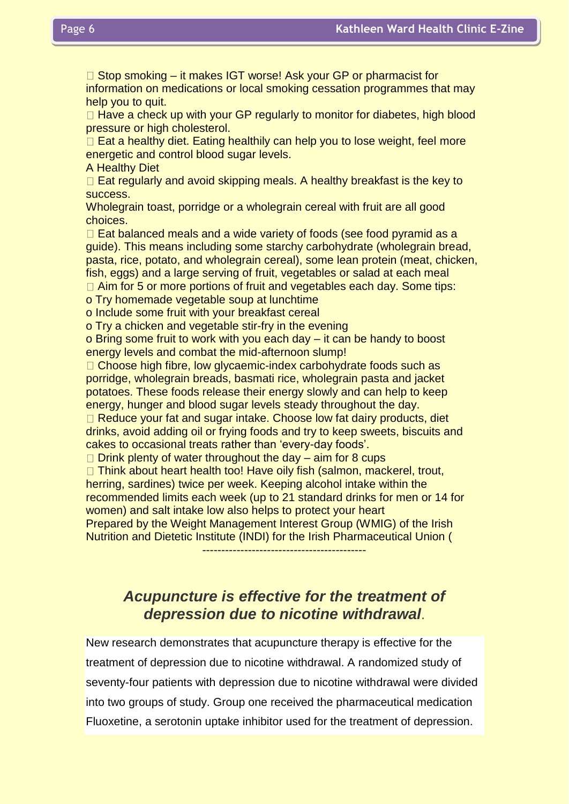$\Box$  Stop smoking – it makes IGT worse! Ask your GP or pharmacist for information on medications or local smoking cessation programmes that may help you to quit.

 $\Box$  Have a check up with your GP regularly to monitor for diabetes, high blood pressure or high cholesterol.

 $\Box$  Eat a healthy diet. Eating healthily can help you to lose weight, feel more energetic and control blood sugar levels.

A Healthy Diet

 $\Box$  Eat regularly and avoid skipping meals. A healthy breakfast is the key to success.

Wholegrain toast, porridge or a wholegrain cereal with fruit are all good choices.

 $\Box$  Eat balanced meals and a wide variety of foods (see food pyramid as a guide). This means including some starchy carbohydrate (wholegrain bread, pasta, rice, potato, and wholegrain cereal), some lean protein (meat, chicken, fish, eggs) and a large serving of fruit, vegetables or salad at each meal

 $\Box$  Aim for 5 or more portions of fruit and vegetables each day. Some tips:

o Try homemade vegetable soup at lunchtime

o Include some fruit with your breakfast cereal

o Try a chicken and vegetable stir-fry in the evening

o Bring some fruit to work with you each day – it can be handy to boost energy levels and combat the mid-afternoon slump!

□ Choose high fibre, low glycaemic-index carbohydrate foods such as porridge, wholegrain breads, basmati rice, wholegrain pasta and jacket potatoes. These foods release their energy slowly and can help to keep energy, hunger and blood sugar levels steady throughout the day.

 $\Box$  Reduce your fat and sugar intake. Choose low fat dairy products, diet drinks, avoid adding oil or frying foods and try to keep sweets, biscuits and cakes to occasional treats rather than 'every-day foods'.

 $\Box$  Drink plenty of water throughout the day – aim for 8 cups

 $\Box$  Think about heart health too! Have oily fish (salmon, mackerel, trout, herring, sardines) twice per week. Keeping alcohol intake within the recommended limits each week (up to 21 standard drinks for men or 14 for women) and salt intake low also helps to protect your heart Prepared by the Weight Management Interest Group (WMIG) of the Irish

Nutrition and Dietetic Institute (INDI) for the Irish Pharmaceutical Union (

-------------------------------------------

# *Acupuncture is effective for the treatment of depression due to nicotine withdrawal*.

New research demonstrates that acupuncture therapy is effective for the treatment of depression due to nicotine withdrawal. A randomized study of seventy-four patients with depression due to nicotine withdrawal were divided into two groups of study. Group one received the pharmaceutical medication Fluoxetine, a serotonin uptake inhibitor used for the treatment of depression.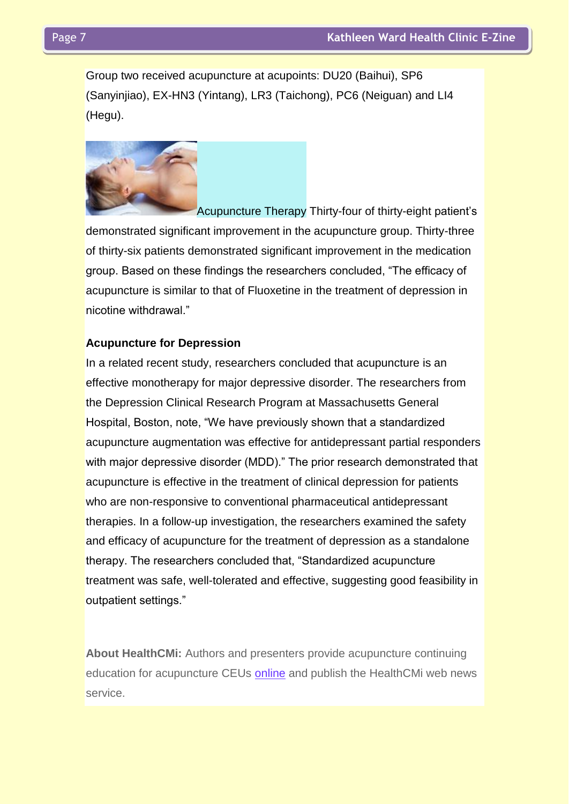Group two received acupuncture at acupoints: DU20 (Baihui), SP6 (Sanyinjiao), EX-HN3 (Yintang), LR3 (Taichong), PC6 (Neiguan) and LI4 (Hegu).



Acupuncture Therapy Thirty-four of thirty-eight patient's demonstrated significant improvement in the acupuncture group. Thirty-three of thirty-six patients demonstrated significant improvement in the medication group. Based on these findings the researchers concluded, "The efficacy of acupuncture is similar to that of Fluoxetine in the treatment of depression in nicotine withdrawal."

#### **Acupuncture for Depression**

In a related recent study, researchers concluded that acupuncture is an effective monotherapy for major depressive disorder. The researchers from the Depression Clinical Research Program at Massachusetts General Hospital, Boston, note, "We have previously shown that a standardized acupuncture augmentation was effective for antidepressant partial responders with major depressive disorder (MDD)." The prior research demonstrated that acupuncture is effective in the treatment of clinical depression for patients who are non-responsive to conventional pharmaceutical antidepressant therapies. In a follow-up investigation, the researchers examined the safety and efficacy of acupuncture for the treatment of depression as a standalone therapy. The researchers concluded that, "Standardized acupuncture treatment was safe, well-tolerated and effective, suggesting good feasibility in outpatient settings."

**About HealthCMi:** Authors and presenters provide acupuncture continuing education for acupuncture CEUs [online](http://www.healthcmi.com/index.php/acupuncturist-news-online/606-acupunctureceusdepressionnicotinewithdrawalboston##) and publish the HealthCMi web news service.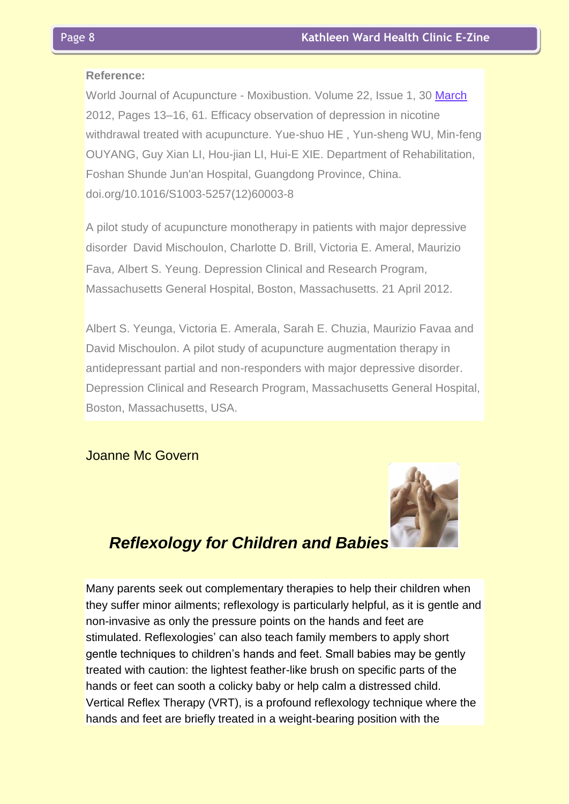#### **Reference:**

World Journal of Acupuncture - Moxibustion. Volume 22, Issue 1, 30 [March](http://www.healthcmi.com/index.php/acupuncturist-news-online/606-acupunctureceusdepressionnicotinewithdrawalboston##) 2012, Pages 13–16, 61. Efficacy observation of depression in nicotine withdrawal treated with acupuncture. Yue-shuo HE , Yun-sheng WU, Min-feng OUYANG, Guy Xian LI, Hou-jian LI, Hui-E XIE. Department of Rehabilitation, Foshan Shunde Jun'an Hospital, Guangdong Province, China. doi.org/10.1016/S1003-5257(12)60003-8

A pilot study of acupuncture monotherapy in patients with major depressive disorder David Mischoulon, Charlotte D. Brill, Victoria E. Ameral, Maurizio Fava, Albert S. Yeung. Depression Clinical and Research Program, Massachusetts General Hospital, Boston, Massachusetts. 21 April 2012.

Albert S. Yeunga, Victoria E. Amerala, Sarah E. Chuzia, Maurizio Favaa and David Mischoulon. A pilot study of acupuncture augmentation therapy in antidepressant partial and non-responders with major depressive disorder. Depression Clinical and Research Program, Massachusetts General Hospital, Boston, Massachusetts, USA.

Joanne Mc Govern



# *Reflexology for Children and Babies*

Many parents seek out complementary therapies to help their children when they suffer minor ailments; reflexology is particularly helpful, as it is gentle and non-invasive as only the pressure points on the hands and feet are stimulated. Reflexologies' can also teach family members to apply short gentle techniques to children's hands and feet. Small babies may be gently treated with caution: the lightest feather-like brush on specific parts of the hands or feet can sooth a colicky baby or help calm a distressed child. Vertical Reflex Therapy (VRT), is a profound reflexology technique where the hands and feet are briefly treated in a weight-bearing position with the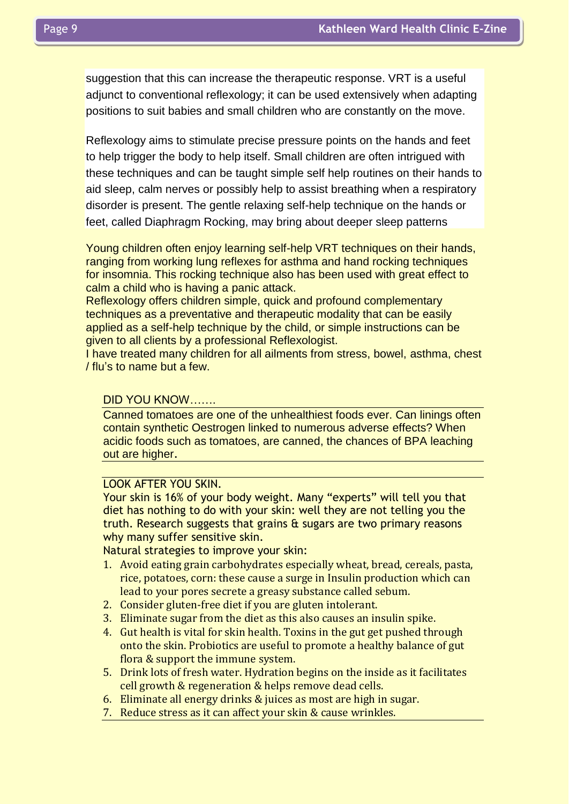suggestion that this can increase the therapeutic response. VRT is a useful adjunct to conventional reflexology; it can be used extensively when adapting positions to suit babies and small children who are constantly on the move.

Reflexology aims to stimulate precise pressure points on the hands and feet to help trigger the body to help itself. Small children are often intrigued with these techniques and can be taught simple self help routines on their hands to aid sleep, calm nerves or possibly help to assist breathing when a respiratory disorder is present. The gentle relaxing self-help technique on the hands or feet, called Diaphragm Rocking, may bring about deeper sleep patterns

Young children often enjoy learning self-help VRT techniques on their hands, ranging from working lung reflexes for asthma and hand rocking techniques for insomnia. This rocking technique also has been used with great effect to calm a child who is having a panic attack.

Reflexology offers children simple, quick and profound complementary techniques as a preventative and therapeutic modality that can be easily applied as a self-help technique by the child, or simple instructions can be given to all clients by a professional Reflexologist.

I have treated many children for all ailments from stress, bowel, asthma, chest / flu's to name but a few.

#### DID YOU KNOW…….

Canned tomatoes are one of the unhealthiest foods ever. Can linings often contain synthetic Oestrogen linked to numerous adverse effects? When acidic foods such as tomatoes, are canned, the chances of BPA leaching out are higher.

#### LOOK AFTER YOU SKIN.

Your skin is 16% of your body weight. Many "experts" will tell you that diet has nothing to do with your skin: well they are not telling you the truth. Research suggests that grains  $\theta$  sugars are two primary reasons why many suffer sensitive skin.

Natural strategies to improve your skin:

- 1. Avoid eating grain carbohydrates especially wheat, bread, cereals, pasta, rice, potatoes, corn: these cause a surge in Insulin production which can lead to your pores secrete a greasy substance called sebum.
- 2. Consider gluten-free diet if you are gluten intolerant.
- 3. Eliminate sugar from the diet as this also causes an insulin spike.
- 4. Gut health is vital for skin health. Toxins in the gut get pushed through onto the skin. Probiotics are useful to promote a healthy balance of gut flora & support the immune system.
- 5. Drink lots of fresh water. Hydration begins on the inside as it facilitates cell growth & regeneration & helps remove dead cells.
- 6. Eliminate all energy drinks & juices as most are high in sugar.
- 7. Reduce stress as it can affect your skin & cause wrinkles.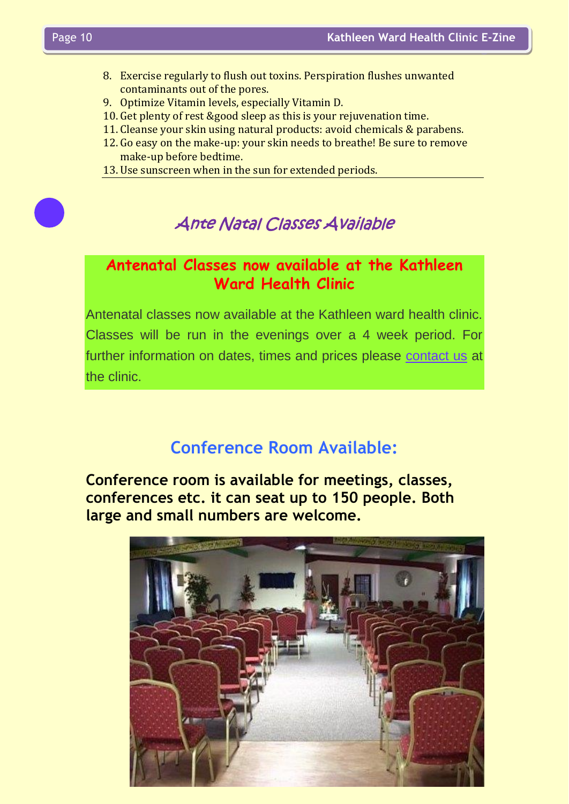- 8. Exercise regularly to flush out toxins. Perspiration flushes unwanted contaminants out of the pores.
- 9. Optimize Vitamin levels, especially Vitamin D.
- 10. Get plenty of rest &good sleep as this is your rejuvenation time.
- 11. Cleanse your skin using natural products: avoid chemicals & parabens.
- 12. Go easy on the make-up: your skin needs to breathe! Be sure to remove make-up before bedtime.
- 13. Use sunscreen when in the sun for extended periods.



# Ante Natal Classes Available

# **Antenatal Classes now available at the Kathleen Ward Health Clinic**

Antenatal classes now available at the Kathleen ward health clinic. Classes will be run in the evenings over a 4 week period. For further information on dates, times and prices please [contact us](http://www.kathleenwardhealthclinic.ie/index.php?option=com_contact&view=contact&id=1) at the clinic.

# **Conference Room Available:**

**Conference room is available for meetings, classes, conferences etc. it can seat up to 150 people. Both large and small numbers are welcome.**